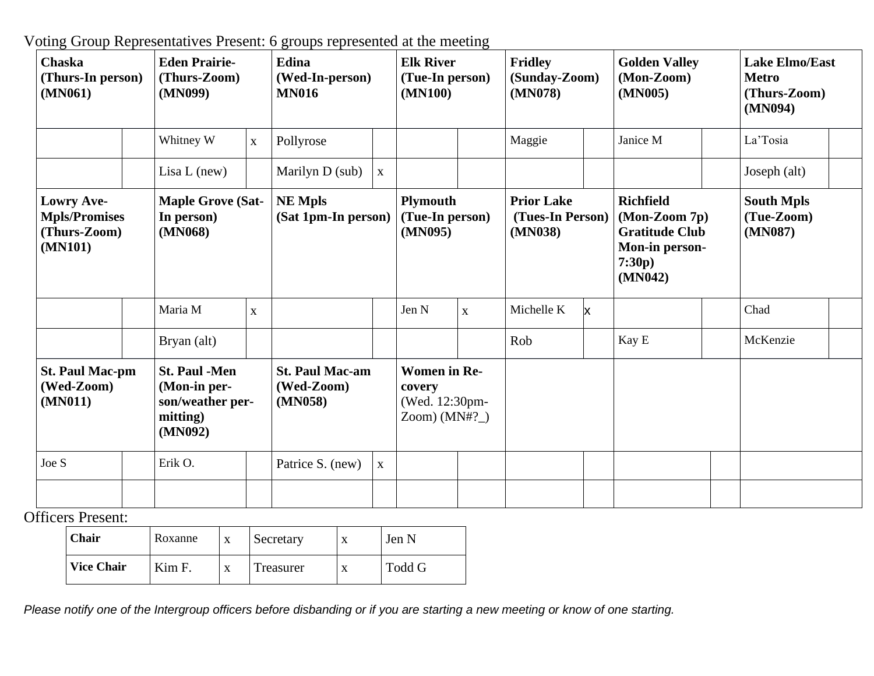Voting Group Representatives Present: 6 groups represented at the meeting

| <b>Chaska</b><br>(Thurs-In person)<br>(MN061)                        | <b>Eden Prairie-</b><br>(Thurs-Zoom)<br>(MN099)                                 |              | <b>Edina</b><br>(Wed-In-person)<br><b>MN016</b> |             | <b>Elk River</b><br>(Tue-In person)<br>(MN100)                    |             | <b>Fridley</b><br>(Sunday-Zoom)<br>(MN078)       |   | <b>Golden Valley</b><br>(Mon-Zoom)<br>(MN005)                                                     | <b>Lake Elmo/East</b><br><b>Metro</b><br>(Thurs-Zoom)<br>(MN094) |  |
|----------------------------------------------------------------------|---------------------------------------------------------------------------------|--------------|-------------------------------------------------|-------------|-------------------------------------------------------------------|-------------|--------------------------------------------------|---|---------------------------------------------------------------------------------------------------|------------------------------------------------------------------|--|
|                                                                      | Whitney W                                                                       | $\mathbf X$  | Pollyrose                                       |             |                                                                   |             | Maggie                                           |   | Janice M                                                                                          | La'Tosia                                                         |  |
|                                                                      | Lisa $L$ (new)                                                                  |              | Marilyn D (sub)                                 | $\mathbf X$ |                                                                   |             |                                                  |   |                                                                                                   | Joseph (alt)                                                     |  |
| <b>Lowry Ave-</b><br><b>Mpls/Promises</b><br>(Thurs-Zoom)<br>(MN101) | <b>Maple Grove (Sat-</b><br>In person)<br>(MN068)                               |              | <b>NE Mpls</b><br>(Sat 1pm-In person)           |             | <b>Plymouth</b><br>(Tue-In person)<br>(MN095)                     |             | <b>Prior Lake</b><br>(Tues-In Person)<br>(MN038) |   | <b>Richfield</b><br>(Mon-Zoom 7p)<br><b>Gratitude Club</b><br>Mon-in person-<br>7:30p)<br>(MN042) | <b>South Mpls</b><br>(Tue-Zoom)<br>(MN087)                       |  |
|                                                                      | Maria M                                                                         | $\mathbf{X}$ |                                                 |             | Jen N                                                             | $\mathbf X$ | Michelle K                                       | X |                                                                                                   | Chad                                                             |  |
|                                                                      | Bryan (alt)                                                                     |              |                                                 |             |                                                                   |             | Rob                                              |   | Kay E                                                                                             | McKenzie                                                         |  |
| <b>St. Paul Mac-pm</b><br>(Wed-Zoom)<br>(MN011)                      | <b>St. Paul -Men</b><br>(Mon-in per-<br>son/weather per-<br>mitting)<br>(MN092) |              | <b>St. Paul Mac-am</b><br>(Wed-Zoom)<br>(MN058) |             | <b>Women in Re-</b><br>covery<br>(Wed. 12:30pm-<br>$Zoom)$ (MN#?) |             |                                                  |   |                                                                                                   |                                                                  |  |
| Joe S                                                                | Erik O.                                                                         |              | Patrice S. (new)                                | $\mathbf X$ |                                                                   |             |                                                  |   |                                                                                                   |                                                                  |  |
|                                                                      |                                                                                 |              |                                                 |             |                                                                   |             |                                                  |   |                                                                                                   |                                                                  |  |

Officers Present:

| Chair             | Roxanne | X | Secretary | Jen N  |
|-------------------|---------|---|-----------|--------|
| <b>Vice Chair</b> | Kim F.  | X | Treasurer | Todd G |

Please notify one of the Intergroup officers before disbanding or if you are starting a new meeting or know of one starting.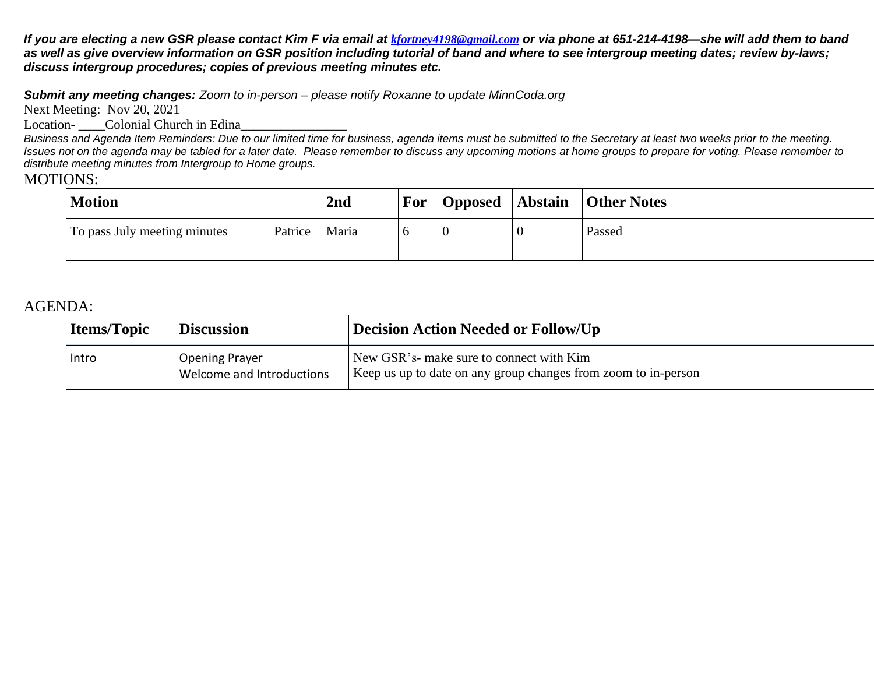If you are electing a new GSR please contact Kim F via email at [kfortney4198@gmail.com](mailto:kfortney4198@gmail.com) or via phone at 651-214-4198—she will add them to band as well as give overview information on GSR position including tutorial of band and where to see intergroup meeting dates; review by-laws; *discuss intergroup procedures; copies of previous meeting minutes etc.*

*Submit any meeting changes: Zoom to in-person – please notify Roxanne to update MinnCoda.org*

Next Meeting: Nov 20, 2021

Location-<br>Colonial Church in Edina

Business and Agenda Item Reminders: Due to our limited time for business, agenda items must be submitted to the Secretary at least two weeks prior to the meeting. Issues not on the agenda may be tabled for a later date. Please remember to discuss any upcoming motions at home groups to prepare for voting. Please remember to *distribute meeting minutes from Intergroup to Home groups.*

## MOTIONS:

| <b>Motion</b>                           | 2nd   | For |  | Opposed   Abstain   Other Notes |
|-----------------------------------------|-------|-----|--|---------------------------------|
| To pass July meeting minutes<br>Patrice | Maria |     |  | Passed                          |

## AGENDA:

| <b>Items/Topic</b> | <b>Discussion</b>                                  | Decision Action Needed or Follow/Up                                                                        |  |  |  |  |  |
|--------------------|----------------------------------------------------|------------------------------------------------------------------------------------------------------------|--|--|--|--|--|
| Intro              | <b>Opening Prayer</b><br>Welcome and Introductions | New GSR's- make sure to connect with Kim<br>Keep us up to date on any group changes from zoom to in-person |  |  |  |  |  |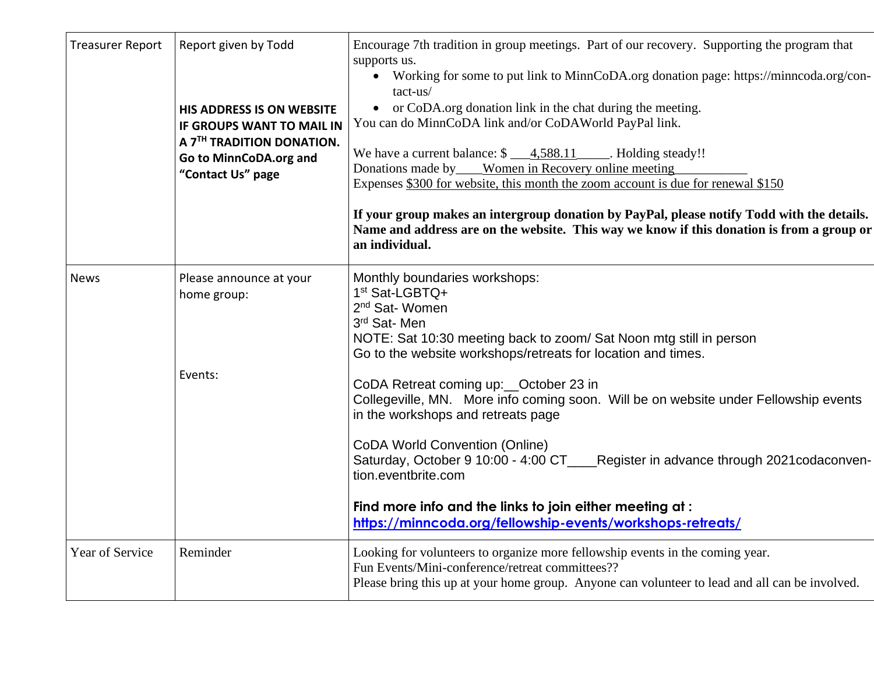| <b>Treasurer Report</b> | Report given by Todd<br><b>HIS ADDRESS IS ON WEBSITE</b><br>IF GROUPS WANT TO MAIL IN<br>A 7TH TRADITION DONATION.<br>Go to MinnCoDA.org and<br>"Contact Us" page | Encourage 7th tradition in group meetings. Part of our recovery. Supporting the program that<br>supports us.<br>• Working for some to put link to MinnCoDA.org donation page: https://minncoda.org/con-<br>tact-us/<br>• or CoDA.org donation link in the chat during the meeting.<br>You can do MinnCoDA link and/or CoDAWorld PayPal link.<br>We have a current balance: $\frac{\sqrt{9}-4.588.11}{\sqrt{9}}$ . Holding steady!!<br>Donations made by____Women in Recovery online meeting<br>Expenses \$300 for website, this month the zoom account is due for renewal \$150<br>If your group makes an intergroup donation by PayPal, please notify Todd with the details.<br>Name and address are on the website. This way we know if this donation is from a group or<br>an individual. |
|-------------------------|-------------------------------------------------------------------------------------------------------------------------------------------------------------------|----------------------------------------------------------------------------------------------------------------------------------------------------------------------------------------------------------------------------------------------------------------------------------------------------------------------------------------------------------------------------------------------------------------------------------------------------------------------------------------------------------------------------------------------------------------------------------------------------------------------------------------------------------------------------------------------------------------------------------------------------------------------------------------------|
| <b>News</b>             | Please announce at your<br>home group:<br>Events:                                                                                                                 | Monthly boundaries workshops:<br>1 <sup>st</sup> Sat-LGBTQ+<br>2 <sup>nd</sup> Sat-Women<br>3rd Sat-Men<br>NOTE: Sat 10:30 meeting back to zoom/ Sat Noon mtg still in person<br>Go to the website workshops/retreats for location and times.<br>CoDA Retreat coming up: __ October 23 in<br>Collegeville, MN. More info coming soon. Will be on website under Fellowship events<br>in the workshops and retreats page<br><b>CoDA World Convention (Online)</b><br>Saturday, October 9 10:00 - 4:00 CT____Register in advance through 2021codaconven-<br>tion.eventbrite.com<br>Find more info and the links to join either meeting at:<br>https://minncoda.org/fellowship-events/workshops-retreats/                                                                                        |
| <b>Year of Service</b>  | Reminder                                                                                                                                                          | Looking for volunteers to organize more fellowship events in the coming year.<br>Fun Events/Mini-conference/retreat committees??<br>Please bring this up at your home group. Anyone can volunteer to lead and all can be involved.                                                                                                                                                                                                                                                                                                                                                                                                                                                                                                                                                           |